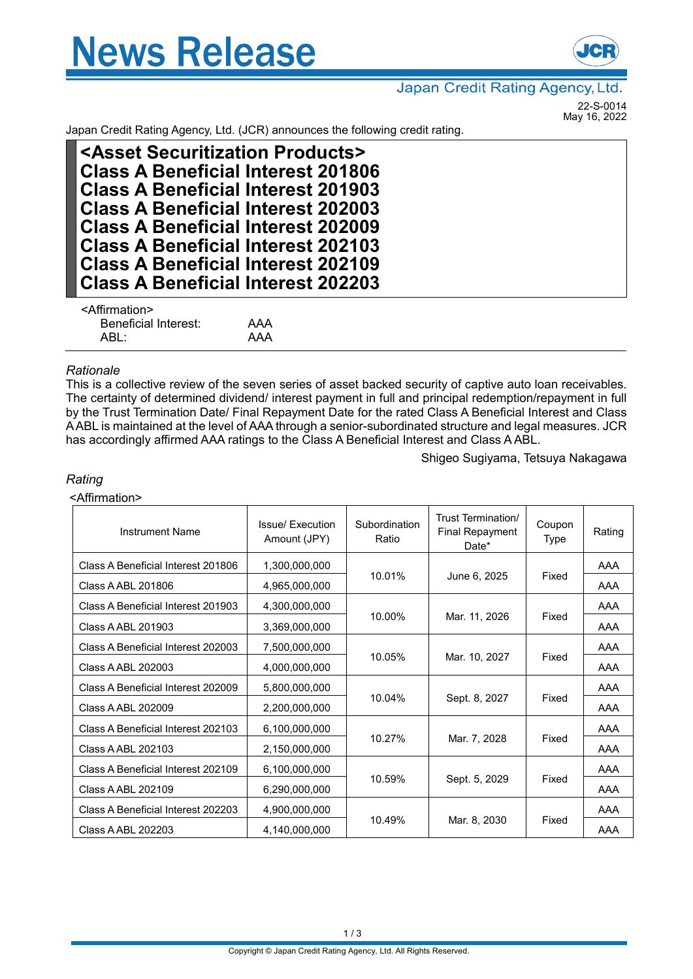



# Japan Credit Rating Agency, Ltd.

22-S-0014 May 16, 2022

Japan Credit Rating Agency, Ltd. (JCR) announces the following credit rating.

| <asset products="" securitization=""></asset> |
|-----------------------------------------------|
| <b>Class A Beneficial Interest 201806</b>     |
| <b>Class A Beneficial Interest 201903</b>     |
| <b>Class A Beneficial Interest 202003</b>     |
| <b>Class A Beneficial Interest 202009</b>     |
| <b>Class A Beneficial Interest 202103</b>     |
| <b>Class A Beneficial Interest 202109</b>     |
| <b>Class A Beneficial Interest 202203</b>     |
| <affirmation></affirmation>                   |

Beneficial Interest: AAA ABL: AAA

## *Rationale*

This is a collective review of the seven series of asset backed security of captive auto loan receivables. The certainty of determined dividend/ interest payment in full and principal redemption/repayment in full by the Trust Termination Date/ Final Repayment Date for the rated Class A Beneficial Interest and Class AABL is maintained at the level of AAA through a senior-subordinated structure and legal measures. JCR has accordingly affirmed AAA ratings to the Class A Beneficial Interest and Class AABL.

Shigeo Sugiyama, Tetsuya Nakagawa

# *Rating*

## <Affirmation>

| <b>Instrument Name</b>             | Issue/ Execution<br>Amount (JPY) | Subordination<br>Ratio | Trust Termination/<br><b>Final Repayment</b><br>Date* | Coupon<br>Type | Rating |
|------------------------------------|----------------------------------|------------------------|-------------------------------------------------------|----------------|--------|
| Class A Beneficial Interest 201806 | 1,300,000,000                    |                        |                                                       |                | AAA    |
| Class A ABL 201806                 | 4,965,000,000                    | 10.01%<br>June 6, 2025 |                                                       | Fixed          | AAA    |
| Class A Beneficial Interest 201903 | 4,300,000,000                    |                        |                                                       |                | AAA    |
| Class A ABL 201903                 | 3,369,000,000                    | 10.00%                 | Mar. 11, 2026                                         | Fixed          | AAA    |
| Class A Beneficial Interest 202003 | 7,500,000,000                    |                        |                                                       |                | AAA    |
| Class A ABL 202003                 | 4,000,000,000                    | 10.05%                 | Mar. 10, 2027                                         | Fixed          | AAA    |
| Class A Beneficial Interest 202009 | 5,800,000,000                    |                        |                                                       |                | AAA    |
| Class A ABL 202009                 | 2,200,000,000                    | 10.04%                 | Sept. 8, 2027                                         | Fixed          | AAA    |
| Class A Beneficial Interest 202103 | 6,100,000,000                    |                        |                                                       |                | AAA    |
| Class A ABL 202103                 | 2,150,000,000                    | 10.27%<br>Mar. 7, 2028 |                                                       | Fixed          | AAA    |
| Class A Beneficial Interest 202109 | 6,100,000,000                    |                        |                                                       |                | AAA    |
| Class A ABL 202109                 | 6,290,000,000                    | 10.59%                 | Sept. 5, 2029                                         | Fixed          | AAA    |
| Class A Beneficial Interest 202203 | 4,900,000,000                    |                        |                                                       |                | AAA    |
| Class A ABL 202203                 | 4,140,000,000                    | 10.49%                 | Mar. 8, 2030                                          | Fixed          | AAA    |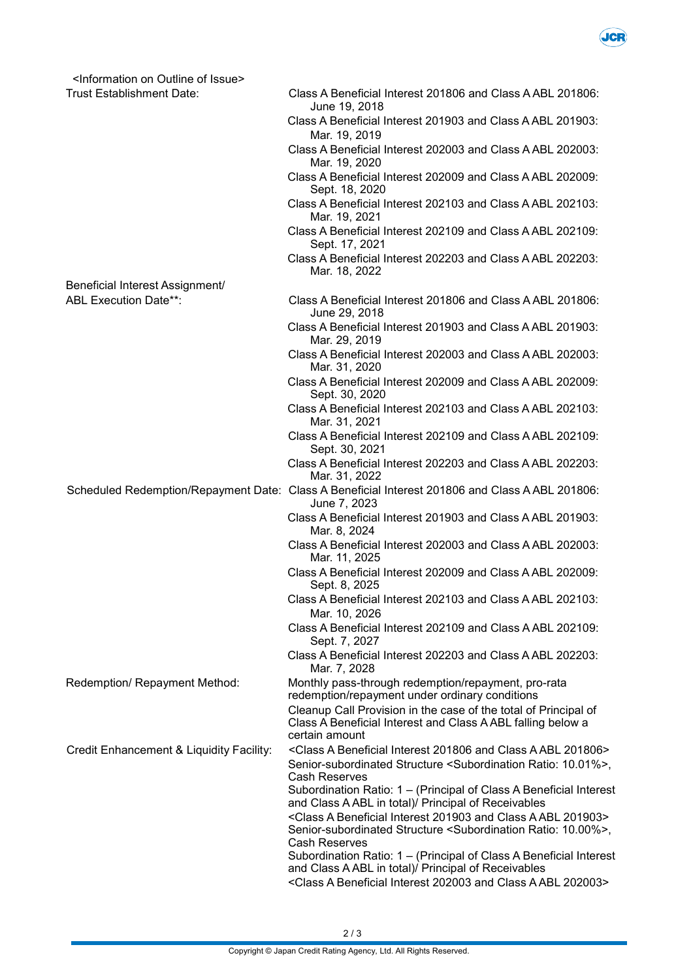

| <information issue="" of="" on="" outline=""></information> |                                                                                                                                                                        |
|-------------------------------------------------------------|------------------------------------------------------------------------------------------------------------------------------------------------------------------------|
| <b>Trust Establishment Date:</b>                            | Class A Beneficial Interest 201806 and Class A ABL 201806:<br>June 19, 2018                                                                                            |
|                                                             | Class A Beneficial Interest 201903 and Class A ABL 201903:<br>Mar. 19, 2019                                                                                            |
|                                                             | Class A Beneficial Interest 202003 and Class A ABL 202003:<br>Mar. 19, 2020                                                                                            |
|                                                             | Class A Beneficial Interest 202009 and Class A ABL 202009:<br>Sept. 18, 2020                                                                                           |
|                                                             | Class A Beneficial Interest 202103 and Class A ABL 202103:<br>Mar. 19, 2021                                                                                            |
|                                                             | Class A Beneficial Interest 202109 and Class A ABL 202109:<br>Sept. 17, 2021                                                                                           |
|                                                             | Class A Beneficial Interest 202203 and Class A ABL 202203:<br>Mar. 18, 2022                                                                                            |
| Beneficial Interest Assignment/                             |                                                                                                                                                                        |
| <b>ABL Execution Date**:</b>                                | Class A Beneficial Interest 201806 and Class A ABL 201806:<br>June 29, 2018                                                                                            |
|                                                             | Class A Beneficial Interest 201903 and Class A ABL 201903:<br>Mar. 29, 2019                                                                                            |
|                                                             | Class A Beneficial Interest 202003 and Class A ABL 202003:<br>Mar. 31, 2020                                                                                            |
|                                                             | Class A Beneficial Interest 202009 and Class A ABL 202009:<br>Sept. 30, 2020                                                                                           |
|                                                             | Class A Beneficial Interest 202103 and Class A ABL 202103:<br>Mar. 31, 2021                                                                                            |
|                                                             | Class A Beneficial Interest 202109 and Class A ABL 202109:<br>Sept. 30, 2021                                                                                           |
|                                                             | Class A Beneficial Interest 202203 and Class A ABL 202203:<br>Mar. 31, 2022                                                                                            |
|                                                             | Scheduled Redemption/Repayment Date: Class A Beneficial Interest 201806 and Class A ABL 201806:<br>June 7, 2023                                                        |
|                                                             | Class A Beneficial Interest 201903 and Class A ABL 201903:<br>Mar. 8, 2024                                                                                             |
|                                                             | Class A Beneficial Interest 202003 and Class A ABL 202003:<br>Mar. 11, 2025                                                                                            |
|                                                             | Class A Beneficial Interest 202009 and Class A ABL 202009:<br>Sept. 8, 2025                                                                                            |
|                                                             | Class A Beneficial Interest 202103 and Class A ABL 202103:                                                                                                             |
|                                                             | Mar. 10, 2026                                                                                                                                                          |
|                                                             | Class A Beneficial Interest 202109 and Class A ABL 202109:<br>Sept. 7, 2027                                                                                            |
|                                                             | Class A Beneficial Interest 202203 and Class A ABL 202203:<br>Mar. 7, 2028                                                                                             |
| Redemption/ Repayment Method:                               | Monthly pass-through redemption/repayment, pro-rata<br>redemption/repayment under ordinary conditions                                                                  |
|                                                             | Cleanup Call Provision in the case of the total of Principal of<br>Class A Beneficial Interest and Class A ABL falling below a<br>certain amount                       |
| Credit Enhancement & Liquidity Facility:                    | <class 201806="" a="" abl="" and="" beneficial="" class="" interest=""></class>                                                                                        |
|                                                             | Senior-subordinated Structure <subordination 10.01%="" ratio:="">,<br/><b>Cash Reserves</b></subordination>                                                            |
|                                                             | Subordination Ratio: 1 - (Principal of Class A Beneficial Interest<br>and Class A ABL in total)/ Principal of Receivables                                              |
|                                                             | <class 201903="" a="" abl="" and="" beneficial="" class="" interest=""><br/>Senior-subordinated Structure <subordination 10.00%="" ratio:="">,</subordination></class> |
|                                                             | <b>Cash Reserves</b><br>Subordination Ratio: 1 - (Principal of Class A Beneficial Interest<br>and Class A ABL in total)/ Principal of Receivables                      |
|                                                             | <class 202003="" a="" abl="" and="" beneficial="" class="" interest=""></class>                                                                                        |